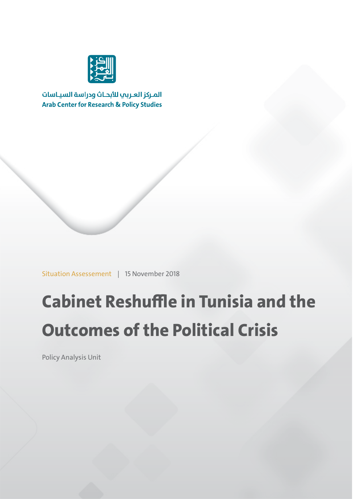

المركز العربب للأبحاث ودراسة السياسات **Arab Center for Research & Policy Studies** 

Situation Assessement | 15 November 2018

# **Cabinet Reshuffle in Tunisia and the Outcomes of the Political Crisis**

Policy Analysis Unit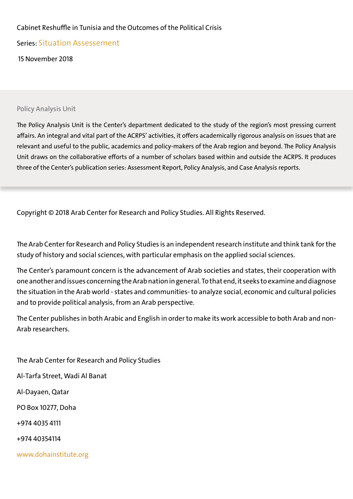### Cabinet Reshuffle in Tunisia and the Outcomes of the Political Cris

Series: Situation Assessement

15 November 2018

#### Policy Analysis Unit

The Policy Analysis Unit is the Center's department dedicated to the study of the region's most pressing current affairs. An integral and vital part of the ACRPS' activities, it offers academically rigorous analysis on issues that are relevant and useful to the public, academics and policy-makers of the Arab region and beyond. The Policy Analysis Unit draws on the collaborative efforts of a number of scholars based within and outside the ACRPS. It produces three of the Center's publication series: Assessment Report, Policy Analysis, and Case Analysis reports.

Copyright © 2018 Arab Center for Research and Policy Studies. All Rights Reserved.

The Arab Center for Research and Policy Studies is an independent research institute and think tank for the study of history and social sciences, with particular emphasis on the applied social sciences.

The Center's paramount concern is the advancement of Arab societies and states, their cooperation with one another and issues concerning the Arab nation in general. To that end, it seeks to examine anddiagnose the situation in the Arab world - states and communities- to analyze social, economic and cultural policies and to provide political analysis, from an Arab perspective.

The Center publishes in both Arabic and English in order to make its work accessible to both Arab and non-Arab researchers.

The Arab Center for Research and Policy Studies Al-Tarfa Street, Wadi Al Banat Al-Dayaen, Qatar PO Box 10277, Doha +974 4035 4111 +974 40354114 www.dohainstitute.org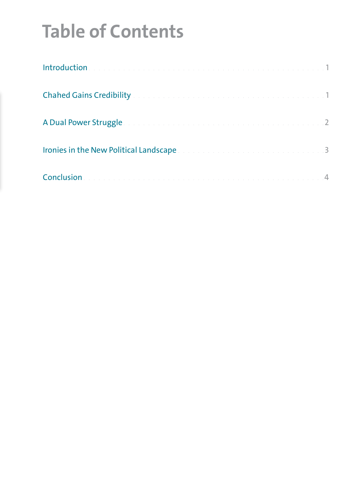# **Table of Contents**

| Chahed Gains Credibility and a construction of the construction of the construction of |  |
|----------------------------------------------------------------------------------------|--|
| A Dual Power Struggle and a construction of the construction of the construction of 2  |  |
| Ironies in the New Political Landscape and an annual contractor and annual 3           |  |
|                                                                                        |  |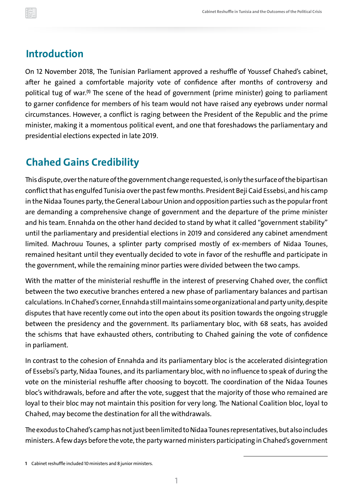### **Introduction**

On 12 November 2018, The Tunisian Parliament approved a reshuffle of Youssef Chahed's cabinet, after he gained a comfortable majority vote of confidence after months of controversy and political tug of war. **(1)** The scene of the head of government (prime minister) going to parliament to garner confidence for members of his team would not have raised any eyebrows under normal circumstances. However, a conflict is raging between the President of the Republic and the prime minister, making it a momentous political event, and one that foreshadows the parliamentary and presidential elections expected in late 2019.

## **Chahed Gains Credibility**

This dispute, over the nature of the government change requested, is only the surface of the bipartisan conflict that has engulfed Tunisia over the past few months. President Beji Caid Essebsi, and his camp in the Nidaa Tounes party, the General Labour Union and opposition parties such as the popular front are demanding a comprehensive change of government and the departure of the prime minister and his team. Ennahda on the other hand decided to stand by what it called "government stability" until the parliamentary and presidential elections in 2019 and considered any cabinet amendment limited. Machrouu Tounes, a splinter party comprised mostly of ex-members of Nidaa Tounes, remained hesitant until they eventually decided to vote in favor of the reshuffle and participate in the government, while the remaining minor parties were divided between the two camps.

With the matter of the ministerial reshuffle in the interest of preserving Chahed over, the conflict between the two executive branches entered a new phase of parliamentary balances and partisan calculations. In Chahed's corner, Ennahda stillmaintains some organizational and party unity, despite disputes that have recently come out into the open about its position towards the ongoing struggle between the presidency and the government. Its parliamentary bloc, with 68 seats, has avoided the schisms that have exhausted others, contributing to Chahed gaining the vote of confidence in parliament.

In contrast to the cohesion of Ennahda and its parliamentary bloc is the accelerated disintegration of Essebsi's party, Nidaa Tounes, and its parliamentary bloc, with no influence to speak of during the vote on the ministerial reshuffle after choosing to boycott. The coordination of the Nidaa Tounes bloc's withdrawals, before and after the vote, suggest that the majority of those who remained are loyal to their bloc may not maintain this position for very long. The National Coalition bloc, loyal to Chahed, may become the destination for all the withdrawals.

The exodus to Chahed's camp has not just been limited to Nidaa Tounes representatives, but also includes ministers. A few days before the vote, the party warned ministers participating in Chahed's government

1 Cabinet reshuffle included 10 ministers and 8 junior ministers.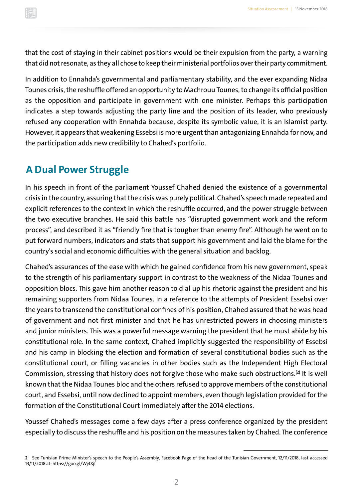that the cost of staying in their cabinet positions would be their expulsion from the party, a warning that did not resonate, as they all chose to keep their ministerial portfolios over their party commitment.

In addition to Ennahda's governmental and parliamentary stability, and the ever expanding Nidaa Tounes crisis, the reshuffle offered an opportunity to Machrouu Tounes, to change its official position as the opposition and participate in government with one minister. Perhaps this participation indicates a step towards adjusting the party line and the position of its leader, who previously refused any cooperation with Ennahda because, despite its symbolic value, it is an Islamist party. However, it appears that weakening Essebsi is more urgent than antagonizing Ennahda for now, and the participation adds new credibility to Chahed's portfolio.

## **A Dual Power Struggle**

In his speech in front of the parliament Youssef Chahed denied the existence of a governmental crisis in the country, assuring that the crisis was purely political. Chahed's speech made repeated and explicit references to the context in which the reshuffle occurred, and the power struggle between the two executive branches. He said this battle has "disrupted government work and the reform process", and described it as "friendly fire that is tougher than enemy fire". Although he went on to put forward numbers, indicators and stats that support his government and laid the blame for the country's social and economic difficulties with the general situation and backlog.

Chahed's assurances of the ease with which he gained confidence from his new government, speak to the strength of his parliamentary support in contrast to the weakness of the Nidaa Tounes and opposition blocs. This gave him another reason to dial up his rhetoric against the president and his remaining supporters from Nidaa Tounes. In a reference to the attempts of President Essebsi over the years to transcend the constitutional confines of his position, Chahed assured that he was head of government and not first minister and that he has unrestricted powers in choosing ministers and junior ministers. This was a powerful message warning the president that he must abide by his constitutional role. In the same context, Chahed implicitly suggested the responsibility of Essebsi and his camp in blocking the election and formation of several constitutional bodies such as the constitutional court, or filling vacancies in other bodies such as the Independent High Electoral Commission, stressing that history does not forgive those who make such obstructions.**(2)** It is well known that the Nidaa Tounes bloc and the others refused to approve members of the constitutional court, and Essebsi, until now declined to appoint members, even though legislation providedfor the formation of the Constitutional Court immediately after the 2014 elections.

Youssef Chahed's messages come a few days after a press conference organized by the president especially to discuss the reshuffle and his position on the measures taken by Chahed. The conference

**<sup>2</sup>** See Tunisian Prime Minister's speech to the People's Assembly, Facebook Page of the head of the Tunisian Government, 12/11/2018, last accessed 13/11/2018 at: https://goo.gl/Wj4Xjf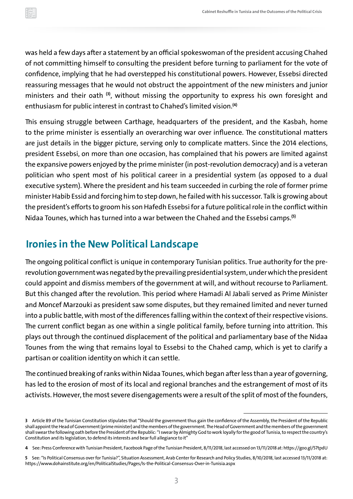was held a few days after a statement by an official spokeswoman of the president accusing Chahed of not committing himself to consulting the president before turning to parliament for the vote of confidence, implying that he had overstepped his constitutional powers. However, Essebsi directed reassuring messages that he would not obstruct the appointment of the new ministers and junior ministers and their oath <sup>(3)</sup>, without missing the opportunity to express his own foresight and enthusiasmfor public interest in contrast to Chahed's limited vision.**(4)**

This ensuing struggle between Carthage, headquarters of the president, and the Kasbah, home to the prime minister is essentially an overarching war over influence. The constitutional matters are just details in the bigger picture, serving only to complicate matters. Since the 2014 elections, president Essebsi, on more than one occasion, has complained that his powers are limited against the expansive powers enjoyed by the prime minister (in post-revolution democracy) and is a veteran politician who spent most of his political career in a presidential system (as opposed to a dual executive system). Where the president and his team succeeded in curbing the role of former prime minister Habib Essid andforcing him to step down, he failed with his successor. Talk is growing about the president's efforts to groom his son Hafedh Essebsi for a future political role in the conflict within Nidaa Tounes, which has turned into a war between the Chahed and the Essebsi camps.**(5)**

## **Ironies in the New Political Landscape**

The ongoing political conflict is unique in contemporary Tunisian politics. True authority for the pre revolution government was negated by the prevailing presidential system, under which the president could appoint and dismiss members of the government at will, and without recourse to Parliament. But this changed after the revolution. This period where Hamadi Al Jabali served as Prime Minister and Moncef Marzouki as president saw some disputes, but they remained limited and never turned into a public battle, with most of the differences falling within the context of their respective visions. The current conflict began as one within a single political family, before turning into attrition. This plays out through the continued displacement of the political and parliamentary base of the Nidaa Tounes from the wing that remains loyal to Essebsi to the Chahed camp, which is yet to clarify a partisan or coalition identity on which it can settle.

The continued breaking ofranks within Nidaa Tounes, which began afterless than a yearof governing, has led to the erosion of most of its local and regional branches and the estrangement of most of its activists. However, the most severe disengagements were a result of the split of most of the founders,

**<sup>3</sup>** Article 89 of the Tunisian Constitution stipulates that "Should the government thus gain the confidence of the Assembly, the President of the Republic shall appoint the Headof Government (prime minister) and the members of the government. The Headof Government and the members of the government shall swear the following oath before the President of the Republic: "I swear by Almighty God to work loyally for the good of Tunisia, to respect the country's Constitution and its legislation, to defend its interests and bearfull allegiance to it"

**<sup>4</sup>** See: Press Conference with Tunisian President, Facebook Page of the Tunisian President, 8/11/2018, last accessed on 13/11/2018 at: https://goo.gl/57tpdU

**<sup>5</sup>** See: "Is Political Consensus overforTunisia?", Situation Assessment, Arab Centerfor Research and Policy Studies, 8/10/2018, last accessed 13/11/2018 at: https://www.dohainstitute.org/en/PoliticalStudies/Pages/Is-the-Political-Consensus-Over-in-Tunisia.aspx